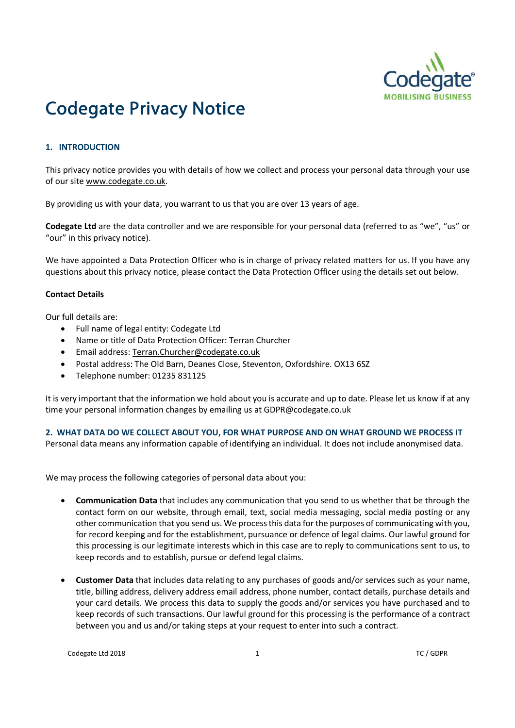

# Codegate Privacy Notice

# **1. INTRODUCTION**

This privacy notice provides you with details of how we collect and process your personal data through your use of our site www.codegate.co.uk.

By providing us with your data, you warrant to us that you are over 13 years of age.

**Codegate Ltd** are the data controller and we are responsible for your personal data (referred to as "we", "us" or "our" in this privacy notice).

We have appointed a Data Protection Officer who is in charge of privacy related matters for us. If you have any questions about this privacy notice, please contact the Data Protection Officer using the details set out below.

# **Contact Details**

Our full details are:

- Full name of legal entity: Codegate Ltd
- Name or title of Data Protection Officer: Terran Churcher
- Email address: Terran.Churcher@codegate.co.uk
- Postal address: The Old Barn, Deanes Close, Steventon, Oxfordshire. OX13 6SZ
- Telephone number: 01235 831125

It is very important that the information we hold about you is accurate and up to date. Please let us know if at any time your personal information changes by emailing us at GDPR@codegate.co.uk

## **2. WHAT DATA DO WE COLLECT ABOUT YOU, FOR WHAT PURPOSE AND ON WHAT GROUND WE PROCESS IT**

Personal data means any information capable of identifying an individual. It does not include anonymised data.

We may process the following categories of personal data about you:

- **Communication Data** that includes any communication that you send to us whether that be through the contact form on our website, through email, text, social media messaging, social media posting or any other communication that you send us. We processthis data for the purposes of communicating with you, for record keeping and for the establishment, pursuance or defence of legal claims. Our lawful ground for this processing is our legitimate interests which in this case are to reply to communications sent to us, to keep records and to establish, pursue or defend legal claims.
- **Customer Data** that includes data relating to any purchases of goods and/or services such as your name, title, billing address, delivery address email address, phone number, contact details, purchase details and your card details. We process this data to supply the goods and/or services you have purchased and to keep records of such transactions. Our lawful ground for this processing is the performance of a contract between you and us and/or taking steps at your request to enter into such a contract.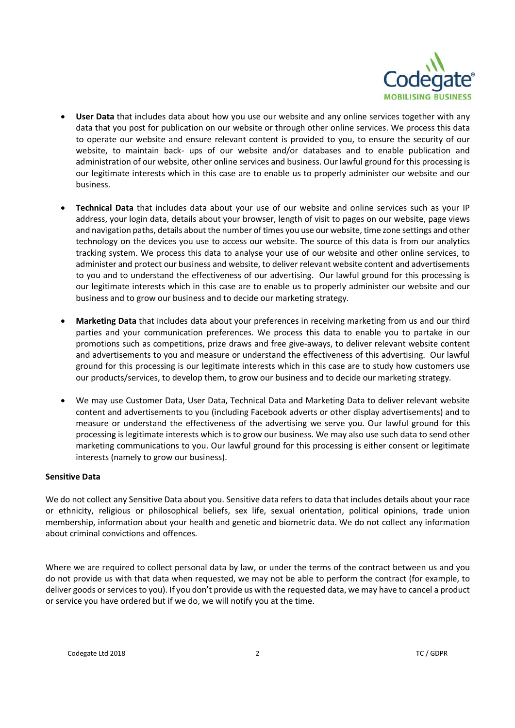

- **User Data** that includes data about how you use our website and any online services together with any data that you post for publication on our website or through other online services. We process this data to operate our website and ensure relevant content is provided to you, to ensure the security of our website, to maintain back- ups of our website and/or databases and to enable publication and administration of our website, other online services and business. Our lawful ground for this processing is our legitimate interests which in this case are to enable us to properly administer our website and our business.
- **Technical Data** that includes data about your use of our website and online services such as your IP address, your login data, details about your browser, length of visit to pages on our website, page views and navigation paths, details about the number of times you use our website, time zone settings and other technology on the devices you use to access our website. The source of this data is from our analytics tracking system. We process this data to analyse your use of our website and other online services, to administer and protect our business and website, to deliver relevant website content and advertisements to you and to understand the effectiveness of our advertising. Our lawful ground for this processing is our legitimate interests which in this case are to enable us to properly administer our website and our business and to grow our business and to decide our marketing strategy.
- **Marketing Data** that includes data about your preferences in receiving marketing from us and our third parties and your communication preferences. We process this data to enable you to partake in our promotions such as competitions, prize draws and free give-aways, to deliver relevant website content and advertisements to you and measure or understand the effectiveness of this advertising. Our lawful ground for this processing is our legitimate interests which in this case are to study how customers use our products/services, to develop them, to grow our business and to decide our marketing strategy.
- We may use Customer Data, User Data, Technical Data and Marketing Data to deliver relevant website content and advertisements to you (including Facebook adverts or other display advertisements) and to measure or understand the effectiveness of the advertising we serve you. Our lawful ground for this processing is legitimate interests which is to grow our business. We may also use such data to send other marketing communications to you. Our lawful ground for this processing is either consent or legitimate interests (namely to grow our business).

## **Sensitive Data**

We do not collect any Sensitive Data about you. Sensitive data refers to data that includes details about your race or ethnicity, religious or philosophical beliefs, sex life, sexual orientation, political opinions, trade union membership, information about your health and genetic and biometric data. We do not collect any information about criminal convictions and offences.

Where we are required to collect personal data by law, or under the terms of the contract between us and you do not provide us with that data when requested, we may not be able to perform the contract (for example, to deliver goods or services to you). If you don't provide us with the requested data, we may have to cancel a product or service you have ordered but if we do, we will notify you at the time.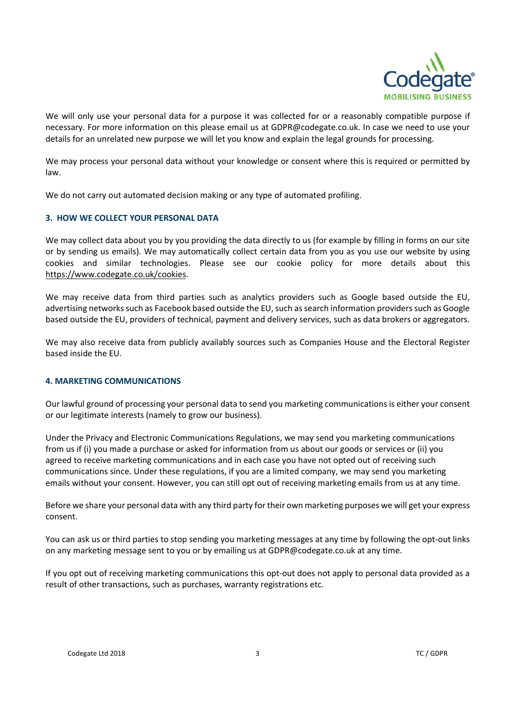

We will only use your personal data for a purpose it was collected for or a reasonably compatible purpose if necessary. For more information on this please email us at GDPR@codegate.co.uk. In case we need to use your details for an unrelated new purpose we will let you know and explain the legal grounds for processing.

We may process your personal data without your knowledge or consent where this is required or permitted by law.

We do not carry out automated decision making or any type of automated profiling.

## **3. HOW WE COLLECT YOUR PERSONAL DATA**

We may collect data about you by you providing the data directly to us (for example by filling in forms on our site or by sending us emails). We may automatically collect certain data from you as you use our website by using cookies and similar technologies. Please see our cookie policy for more details about this https://www.codegate.co.uk/cookies.

We may receive data from third parties such as analytics providers such as Google based outside the EU, advertising networks such as Facebook based outside the EU, such as search information providers such as Google based outside the EU, providers of technical, payment and delivery services, such as data brokers or aggregators.

We may also receive data from publicly availably sources such as Companies House and the Electoral Register based inside the EU.

## **4. MARKETING COMMUNICATIONS**

Our lawful ground of processing your personal data to send you marketing communicationsis either your consent or our legitimate interests (namely to grow our business).

Under the Privacy and Electronic Communications Regulations, we may send you marketing communications from us if (i) you made a purchase or asked for information from us about our goods or services or (ii) you agreed to receive marketing communications and in each case you have not opted out of receiving such communications since. Under these regulations, if you are a limited company, we may send you marketing emails without your consent. However, you can still opt out of receiving marketing emails from us at any time.

Before we share your personal data with any third party for their own marketing purposes we will get your express consent.

You can ask us or third parties to stop sending you marketing messages at any time by following the opt-out links on any marketing message sent to you or by emailing us at GDPR@codegate.co.uk at any time.

If you opt out of receiving marketing communications this opt-out does not apply to personal data provided as a result of other transactions, such as purchases, warranty registrations etc.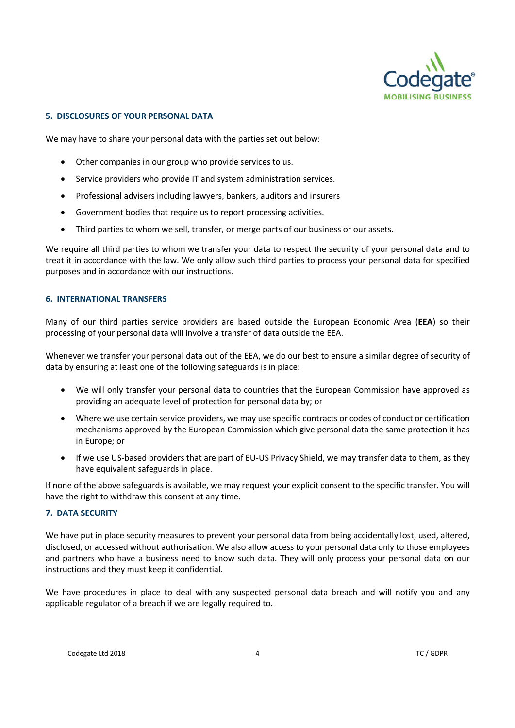

# **5. DISCLOSURES OF YOUR PERSONAL DATA**

We may have to share your personal data with the parties set out below:

- Other companies in our group who provide services to us.
- Service providers who provide IT and system administration services.
- Professional advisers including lawyers, bankers, auditors and insurers
- Government bodies that require us to report processing activities.
- Third parties to whom we sell, transfer, or merge parts of our business or our assets.

We require all third parties to whom we transfer your data to respect the security of your personal data and to treat it in accordance with the law. We only allow such third parties to process your personal data for specified purposes and in accordance with our instructions.

## **6. INTERNATIONAL TRANSFERS**

Many of our third parties service providers are based outside the European Economic Area (**EEA**) so their processing of your personal data will involve a transfer of data outside the EEA.

Whenever we transfer your personal data out of the EEA, we do our best to ensure a similar degree of security of data by ensuring at least one of the following safeguards is in place:

- We will only transfer your personal data to countries that the European Commission have approved as providing an adequate level of protection for personal data by; or
- Where we use certain service providers, we may use specific contracts or codes of conduct or certification mechanisms approved by the European Commission which give personal data the same protection it has in Europe; or
- If we use US-based providers that are part of EU-US Privacy Shield, we may transfer data to them, as they have equivalent safeguards in place.

If none of the above safeguards is available, we may request your explicit consent to the specific transfer. You will have the right to withdraw this consent at any time.

# **7. DATA SECURITY**

We have put in place security measures to prevent your personal data from being accidentally lost, used, altered, disclosed, or accessed without authorisation. We also allow access to your personal data only to those employees and partners who have a business need to know such data. They will only process your personal data on our instructions and they must keep it confidential.

We have procedures in place to deal with any suspected personal data breach and will notify you and any applicable regulator of a breach if we are legally required to.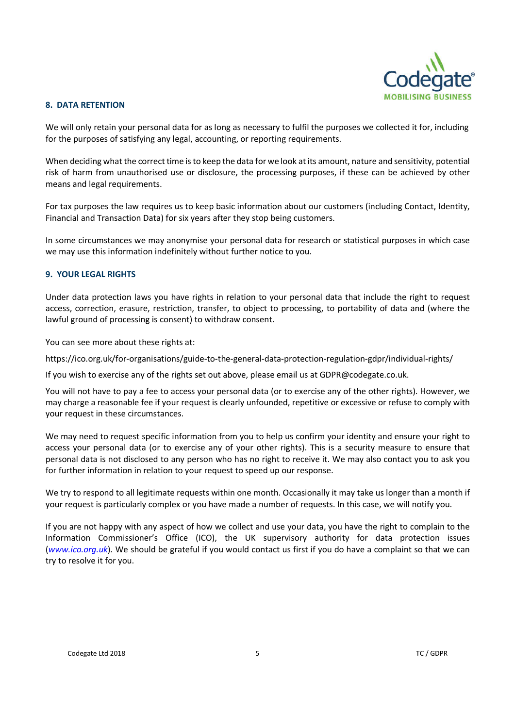

# **8. DATA RETENTION**

We will only retain your personal data for as long as necessary to fulfil the purposes we collected it for, including for the purposes of satisfying any legal, accounting, or reporting requirements.

When deciding what the correct time is to keep the data for we look at its amount, nature and sensitivity, potential risk of harm from unauthorised use or disclosure, the processing purposes, if these can be achieved by other means and legal requirements.

For tax purposes the law requires us to keep basic information about our customers (including Contact, Identity, Financial and Transaction Data) for six years after they stop being customers.

In some circumstances we may anonymise your personal data for research or statistical purposes in which case we may use this information indefinitely without further notice to you.

## **9. YOUR LEGAL RIGHTS**

Under data protection laws you have rights in relation to your personal data that include the right to request access, correction, erasure, restriction, transfer, to object to processing, to portability of data and (where the lawful ground of processing is consent) to withdraw consent.

You can see more about these rights at:

https://ico.org.uk/for-organisations/guide-to-the-general-data-protection-regulation-gdpr/individual-rights/

If you wish to exercise any of the rights set out above, please email us at GDPR@codegate.co.uk.

You will not have to pay a fee to access your personal data (or to exercise any of the other rights). However, we may charge a reasonable fee if your request is clearly unfounded, repetitive or excessive or refuse to comply with your request in these circumstances.

We may need to request specific information from you to help us confirm your identity and ensure your right to access your personal data (or to exercise any of your other rights). This is a security measure to ensure that personal data is not disclosed to any person who has no right to receive it. We may also contact you to ask you for further information in relation to your request to speed up our response.

We try to respond to all legitimate requests within one month. Occasionally it may take us longer than a month if your request is particularly complex or you have made a number of requests. In this case, we will notify you.

If you are not happy with any aspect of how we collect and use your data, you have the right to complain to the Information Commissioner's Office (ICO), the UK supervisory authority for data protection issues (*www.ico.org.uk*). We should be grateful if you would contact us first if you do have a complaint so that we can try to resolve it for you.